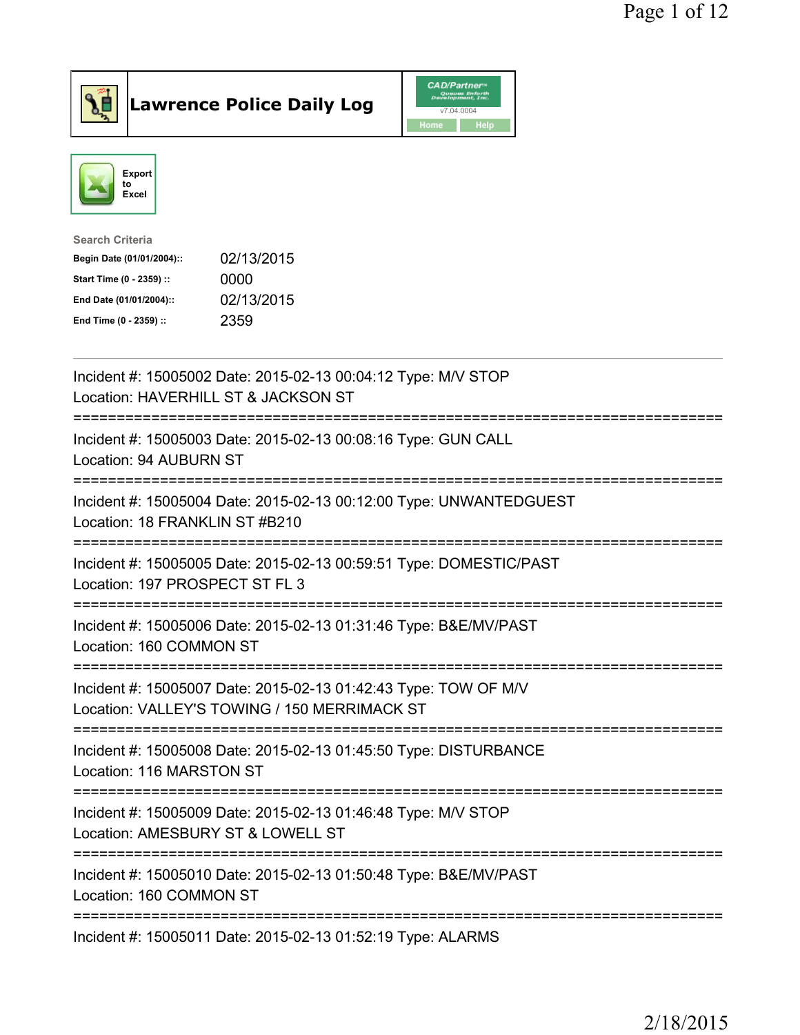



| <b>Search Criteria</b>    |            |
|---------------------------|------------|
| Begin Date (01/01/2004):: | 02/13/2015 |
| Start Time (0 - 2359) ::  | 0000       |
| End Date (01/01/2004)::   | 02/13/2015 |
| End Time (0 - 2359) ::    | 2359       |
|                           |            |

| Incident #: 15005002 Date: 2015-02-13 00:04:12 Type: M/V STOP<br>Location: HAVERHILL ST & JACKSON ST            |
|-----------------------------------------------------------------------------------------------------------------|
| Incident #: 15005003 Date: 2015-02-13 00:08:16 Type: GUN CALL<br>Location: 94 AUBURN ST                         |
| Incident #: 15005004 Date: 2015-02-13 00:12:00 Type: UNWANTEDGUEST<br>Location: 18 FRANKLIN ST #B210            |
| Incident #: 15005005 Date: 2015-02-13 00:59:51 Type: DOMESTIC/PAST<br>Location: 197 PROSPECT ST FL 3            |
| Incident #: 15005006 Date: 2015-02-13 01:31:46 Type: B&E/MV/PAST<br>Location: 160 COMMON ST                     |
| Incident #: 15005007 Date: 2015-02-13 01:42:43 Type: TOW OF M/V<br>Location: VALLEY'S TOWING / 150 MERRIMACK ST |
| Incident #: 15005008 Date: 2015-02-13 01:45:50 Type: DISTURBANCE<br>Location: 116 MARSTON ST                    |
| Incident #: 15005009 Date: 2015-02-13 01:46:48 Type: M/V STOP<br>Location: AMESBURY ST & LOWELL ST              |
| Incident #: 15005010 Date: 2015-02-13 01:50:48 Type: B&E/MV/PAST<br>Location: 160 COMMON ST                     |
| Incident #: 15005011 Date: 2015-02-13 01:52:19 Type: ALARMS                                                     |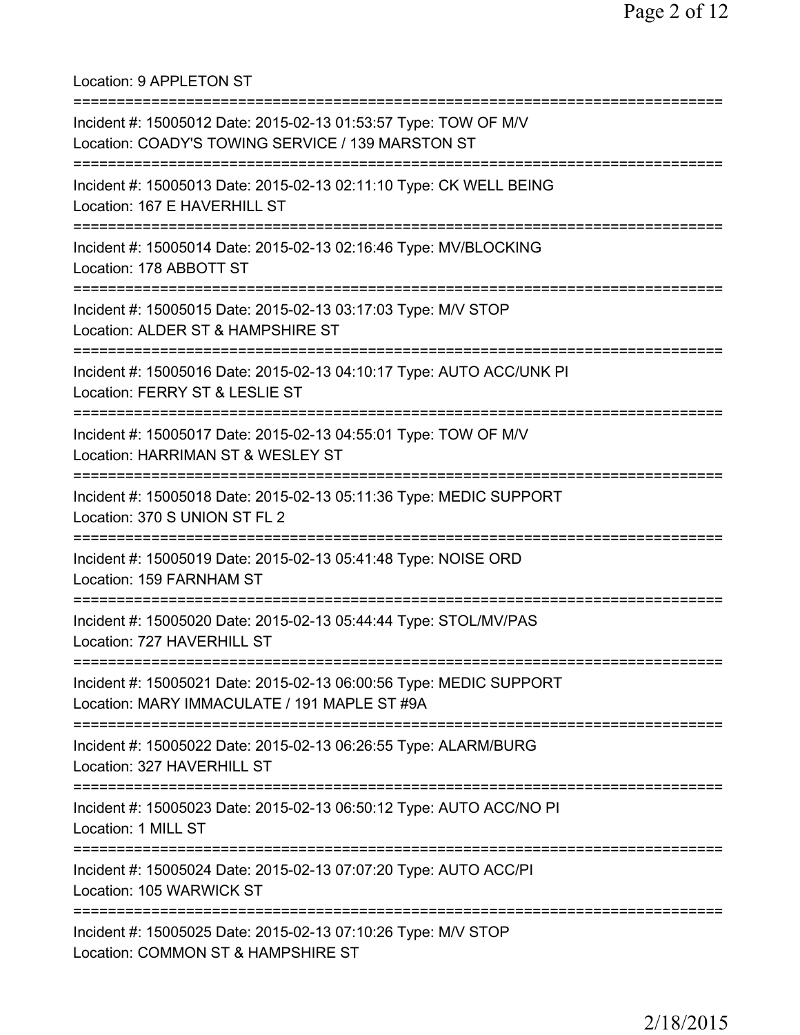Location: 9 APPLETON ST

| Incident #: 15005012 Date: 2015-02-13 01:53:57 Type: TOW OF M/V<br>Location: COADY'S TOWING SERVICE / 139 MARSTON ST         |
|------------------------------------------------------------------------------------------------------------------------------|
| Incident #: 15005013 Date: 2015-02-13 02:11:10 Type: CK WELL BEING<br>Location: 167 E HAVERHILL ST                           |
| Incident #: 15005014 Date: 2015-02-13 02:16:46 Type: MV/BLOCKING<br>Location: 178 ABBOTT ST                                  |
| Incident #: 15005015 Date: 2015-02-13 03:17:03 Type: M/V STOP<br>Location: ALDER ST & HAMPSHIRE ST                           |
| Incident #: 15005016 Date: 2015-02-13 04:10:17 Type: AUTO ACC/UNK PI<br>Location: FERRY ST & LESLIE ST                       |
| Incident #: 15005017 Date: 2015-02-13 04:55:01 Type: TOW OF M/V<br>Location: HARRIMAN ST & WESLEY ST                         |
| =====================<br>Incident #: 15005018 Date: 2015-02-13 05:11:36 Type: MEDIC SUPPORT<br>Location: 370 S UNION ST FL 2 |
| Incident #: 15005019 Date: 2015-02-13 05:41:48 Type: NOISE ORD<br>Location: 159 FARNHAM ST                                   |
| Incident #: 15005020 Date: 2015-02-13 05:44:44 Type: STOL/MV/PAS<br>Location: 727 HAVERHILL ST                               |
| Incident #: 15005021 Date: 2015-02-13 06:00:56 Type: MEDIC SUPPORT<br>Location: MARY IMMACULATE / 191 MAPLE ST #9A           |
| Incident #: 15005022 Date: 2015-02-13 06:26:55 Type: ALARM/BURG<br>Location: 327 HAVERHILL ST                                |
| Incident #: 15005023 Date: 2015-02-13 06:50:12 Type: AUTO ACC/NO PI<br>Location: 1 MILL ST                                   |
| Incident #: 15005024 Date: 2015-02-13 07:07:20 Type: AUTO ACC/PI<br>Location: 105 WARWICK ST                                 |
| Incident #: 15005025 Date: 2015-02-13 07:10:26 Type: M/V STOP<br>Location: COMMON ST & HAMPSHIRE ST                          |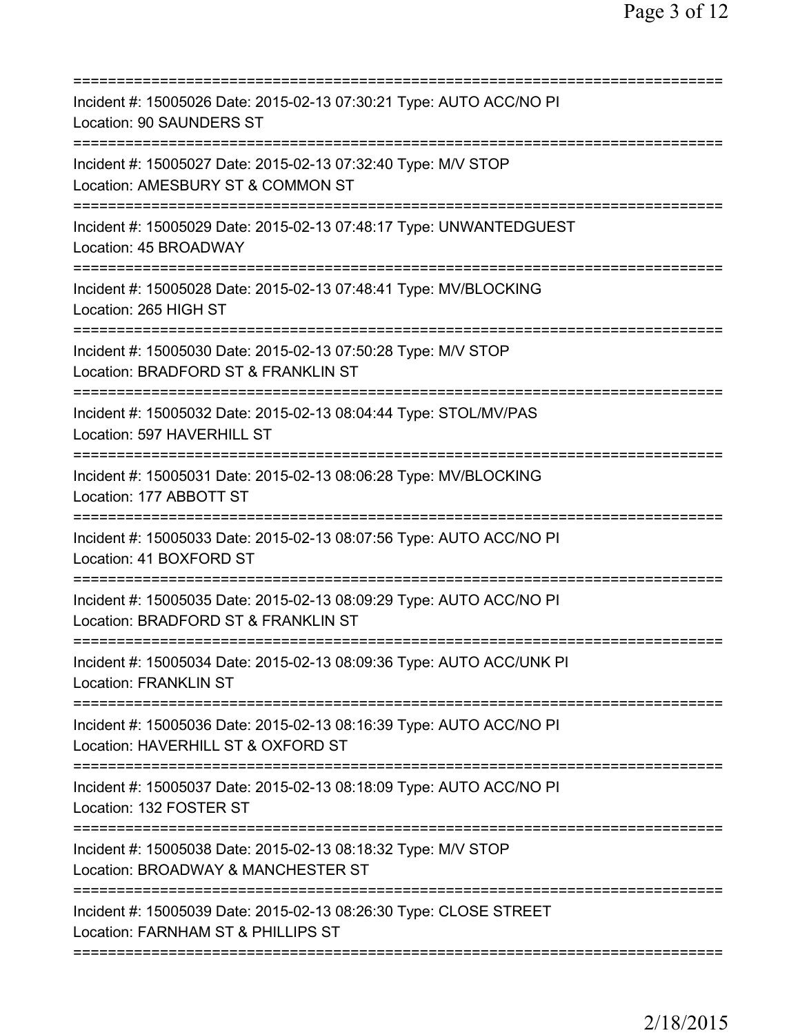| Incident #: 15005026 Date: 2015-02-13 07:30:21 Type: AUTO ACC/NO PI<br>Location: 90 SAUNDERS ST                                        |
|----------------------------------------------------------------------------------------------------------------------------------------|
| Incident #: 15005027 Date: 2015-02-13 07:32:40 Type: M/V STOP<br>Location: AMESBURY ST & COMMON ST                                     |
| Incident #: 15005029 Date: 2015-02-13 07:48:17 Type: UNWANTEDGUEST<br>Location: 45 BROADWAY                                            |
| Incident #: 15005028 Date: 2015-02-13 07:48:41 Type: MV/BLOCKING<br>Location: 265 HIGH ST                                              |
| Incident #: 15005030 Date: 2015-02-13 07:50:28 Type: M/V STOP<br>Location: BRADFORD ST & FRANKLIN ST<br>;============================= |
| Incident #: 15005032 Date: 2015-02-13 08:04:44 Type: STOL/MV/PAS<br>Location: 597 HAVERHILL ST                                         |
| Incident #: 15005031 Date: 2015-02-13 08:06:28 Type: MV/BLOCKING<br>Location: 177 ABBOTT ST                                            |
| Incident #: 15005033 Date: 2015-02-13 08:07:56 Type: AUTO ACC/NO PI<br>Location: 41 BOXFORD ST                                         |
| Incident #: 15005035 Date: 2015-02-13 08:09:29 Type: AUTO ACC/NO PI<br>Location: BRADFORD ST & FRANKLIN ST                             |
| Incident #: 15005034 Date: 2015-02-13 08:09:36 Type: AUTO ACC/UNK PI<br><b>Location: FRANKLIN ST</b>                                   |
| Incident #: 15005036 Date: 2015-02-13 08:16:39 Type: AUTO ACC/NO PI<br>Location: HAVERHILL ST & OXFORD ST                              |
| Incident #: 15005037 Date: 2015-02-13 08:18:09 Type: AUTO ACC/NO PI<br>Location: 132 FOSTER ST                                         |
| Incident #: 15005038 Date: 2015-02-13 08:18:32 Type: M/V STOP<br>Location: BROADWAY & MANCHESTER ST                                    |
| Incident #: 15005039 Date: 2015-02-13 08:26:30 Type: CLOSE STREET<br>Location: FARNHAM ST & PHILLIPS ST                                |
|                                                                                                                                        |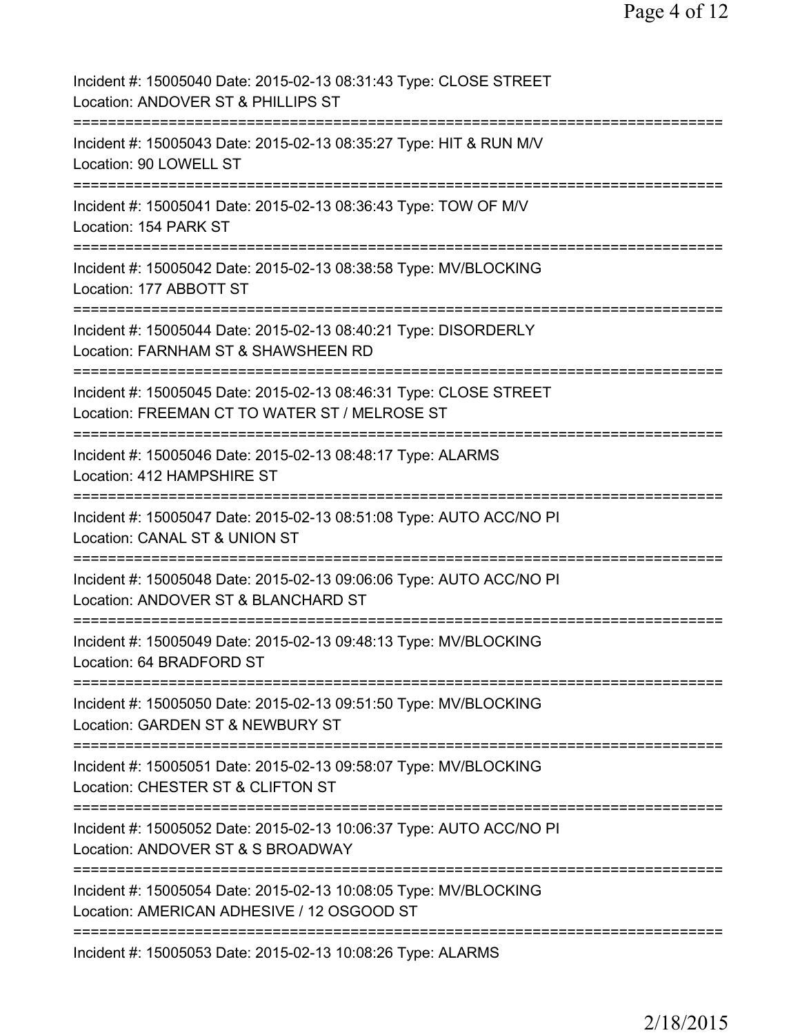| Incident #: 15005040 Date: 2015-02-13 08:31:43 Type: CLOSE STREET<br>Location: ANDOVER ST & PHILLIPS ST                                          |
|--------------------------------------------------------------------------------------------------------------------------------------------------|
| Incident #: 15005043 Date: 2015-02-13 08:35:27 Type: HIT & RUN M/V<br>Location: 90 LOWELL ST                                                     |
| Incident #: 15005041 Date: 2015-02-13 08:36:43 Type: TOW OF M/V<br>Location: 154 PARK ST                                                         |
| Incident #: 15005042 Date: 2015-02-13 08:38:58 Type: MV/BLOCKING<br>Location: 177 ABBOTT ST                                                      |
| ---------------<br>Incident #: 15005044 Date: 2015-02-13 08:40:21 Type: DISORDERLY<br>Location: FARNHAM ST & SHAWSHEEN RD                        |
| Incident #: 15005045 Date: 2015-02-13 08:46:31 Type: CLOSE STREET<br>Location: FREEMAN CT TO WATER ST / MELROSE ST                               |
| =========================<br>Incident #: 15005046 Date: 2015-02-13 08:48:17 Type: ALARMS<br>Location: 412 HAMPSHIRE ST                           |
| Incident #: 15005047 Date: 2015-02-13 08:51:08 Type: AUTO ACC/NO PI<br>Location: CANAL ST & UNION ST                                             |
| Incident #: 15005048 Date: 2015-02-13 09:06:06 Type: AUTO ACC/NO PI<br>Location: ANDOVER ST & BLANCHARD ST                                       |
| Incident #: 15005049 Date: 2015-02-13 09:48:13 Type: MV/BLOCKING<br>Location: 64 BRADFORD ST                                                     |
| Incident #: 15005050 Date: 2015-02-13 09:51:50 Type: MV/BLOCKING<br>Location: GARDEN ST & NEWBURY ST                                             |
| Incident #: 15005051 Date: 2015-02-13 09:58:07 Type: MV/BLOCKING<br>Location: CHESTER ST & CLIFTON ST                                            |
| Incident #: 15005052 Date: 2015-02-13 10:06:37 Type: AUTO ACC/NO PI<br>Location: ANDOVER ST & S BROADWAY                                         |
| ==============================<br>Incident #: 15005054 Date: 2015-02-13 10:08:05 Type: MV/BLOCKING<br>Location: AMERICAN ADHESIVE / 12 OSGOOD ST |
| ==================================<br>Incident #: 15005053 Date: 2015-02-13 10:08:26 Type: ALARMS                                                |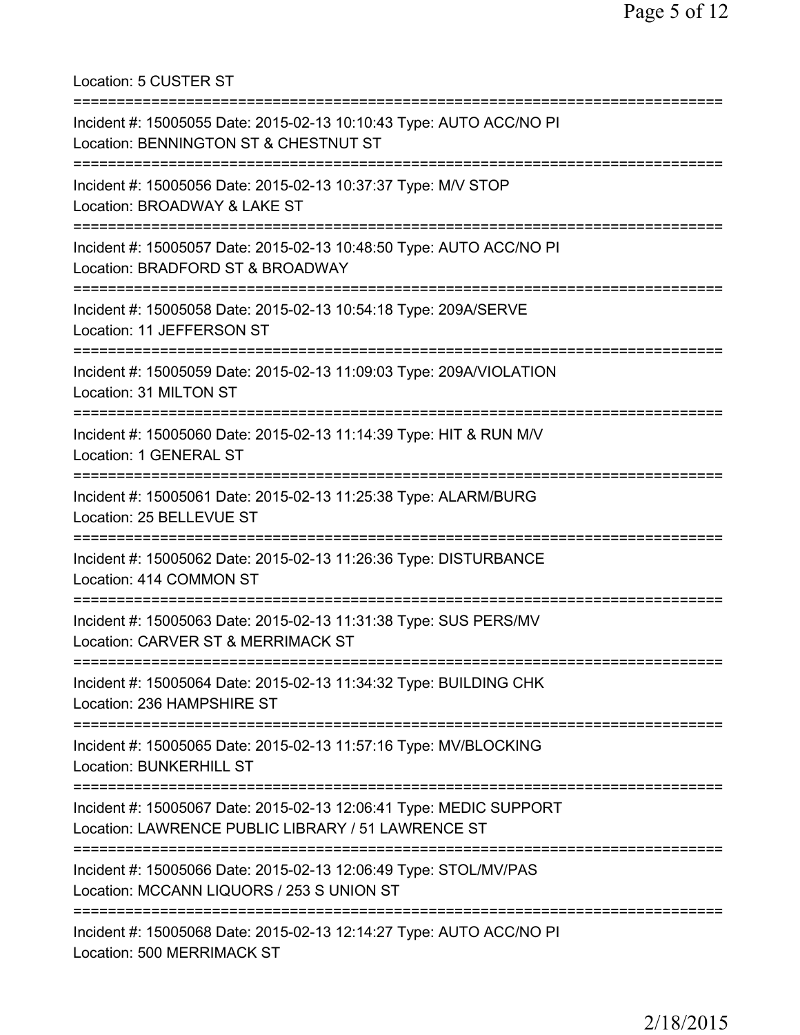Location: 5 CUSTER ST =========================================================================== Incident #: 15005055 Date: 2015-02-13 10:10:43 Type: AUTO ACC/NO PI Location: BENNINGTON ST & CHESTNUT ST =========================================================================== Incident #: 15005056 Date: 2015-02-13 10:37:37 Type: M/V STOP Location: BROADWAY & LAKE ST =========================================================================== Incident #: 15005057 Date: 2015-02-13 10:48:50 Type: AUTO ACC/NO PI Location: BRADFORD ST & BROADWAY =========================================================================== Incident #: 15005058 Date: 2015-02-13 10:54:18 Type: 209A/SERVE Location: 11 JEFFERSON ST =========================================================================== Incident #: 15005059 Date: 2015-02-13 11:09:03 Type: 209A/VIOLATION Location: 31 MILTON ST =========================================================================== Incident #: 15005060 Date: 2015-02-13 11:14:39 Type: HIT & RUN M/V Location: 1 GENERAL ST =========================================================================== Incident #: 15005061 Date: 2015-02-13 11:25:38 Type: ALARM/BURG Location: 25 BELLEVUE ST =========================================================================== Incident #: 15005062 Date: 2015-02-13 11:26:36 Type: DISTURBANCE Location: 414 COMMON ST =========================================================================== Incident #: 15005063 Date: 2015-02-13 11:31:38 Type: SUS PERS/MV Location: CARVER ST & MERRIMACK ST =========================================================================== Incident #: 15005064 Date: 2015-02-13 11:34:32 Type: BUILDING CHK Location: 236 HAMPSHIRE ST =========================================================================== Incident #: 15005065 Date: 2015-02-13 11:57:16 Type: MV/BLOCKING Location: BUNKERHILL ST =========================================================================== Incident #: 15005067 Date: 2015-02-13 12:06:41 Type: MEDIC SUPPORT Location: LAWRENCE PUBLIC LIBRARY / 51 LAWRENCE ST =========================================================================== Incident #: 15005066 Date: 2015-02-13 12:06:49 Type: STOL/MV/PAS Location: MCCANN LIQUORS / 253 S UNION ST =========================================================================== Incident #: 15005068 Date: 2015-02-13 12:14:27 Type: AUTO ACC/NO PI Location: 500 MERRIMACK ST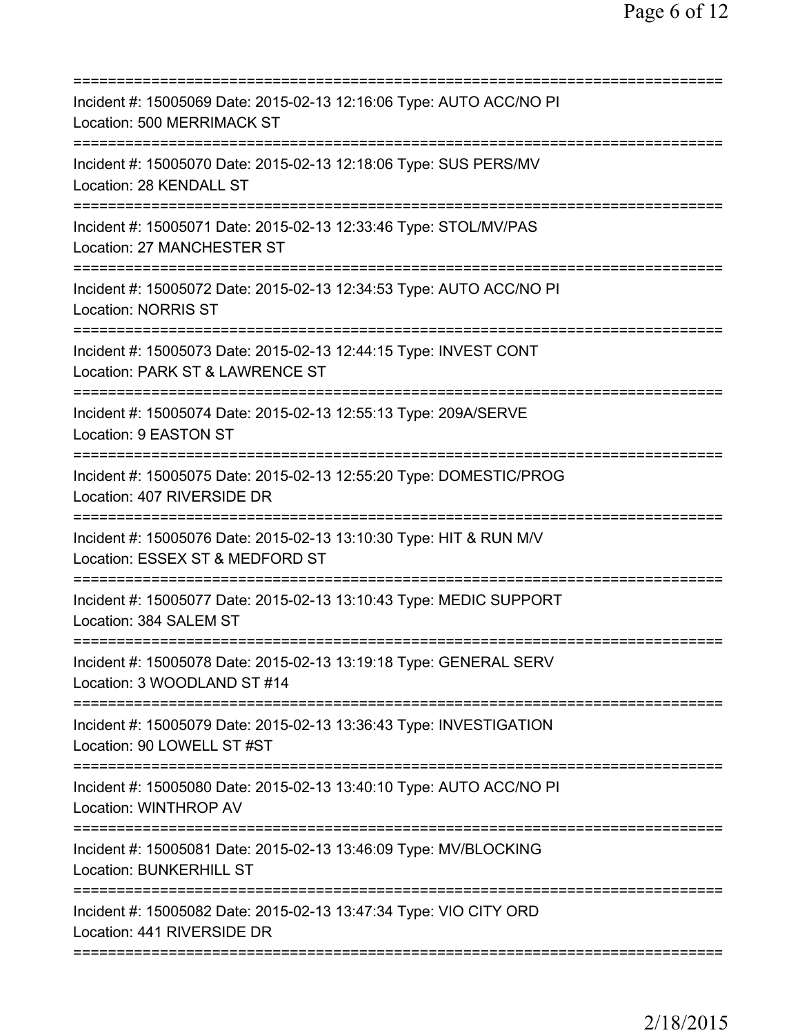| Incident #: 15005069 Date: 2015-02-13 12:16:06 Type: AUTO ACC/NO PI<br>Location: 500 MERRIMACK ST                      |
|------------------------------------------------------------------------------------------------------------------------|
| Incident #: 15005070 Date: 2015-02-13 12:18:06 Type: SUS PERS/MV<br>Location: 28 KENDALL ST                            |
| Incident #: 15005071 Date: 2015-02-13 12:33:46 Type: STOL/MV/PAS<br>Location: 27 MANCHESTER ST<br>==================== |
| Incident #: 15005072 Date: 2015-02-13 12:34:53 Type: AUTO ACC/NO PI<br><b>Location: NORRIS ST</b>                      |
| Incident #: 15005073 Date: 2015-02-13 12:44:15 Type: INVEST CONT<br>Location: PARK ST & LAWRENCE ST                    |
| Incident #: 15005074 Date: 2015-02-13 12:55:13 Type: 209A/SERVE<br>Location: 9 EASTON ST                               |
| Incident #: 15005075 Date: 2015-02-13 12:55:20 Type: DOMESTIC/PROG<br>Location: 407 RIVERSIDE DR<br>============       |
| Incident #: 15005076 Date: 2015-02-13 13:10:30 Type: HIT & RUN M/V<br>Location: ESSEX ST & MEDFORD ST                  |
| Incident #: 15005077 Date: 2015-02-13 13:10:43 Type: MEDIC SUPPORT<br>Location: 384 SALEM ST                           |
| Incident #: 15005078 Date: 2015-02-13 13:19:18 Type: GENERAL SERV<br>Location: 3 WOODLAND ST #14                       |
| Incident #: 15005079 Date: 2015-02-13 13:36:43 Type: INVESTIGATION<br>Location: 90 LOWELL ST #ST                       |
| Incident #: 15005080 Date: 2015-02-13 13:40:10 Type: AUTO ACC/NO PI<br><b>Location: WINTHROP AV</b>                    |
| Incident #: 15005081 Date: 2015-02-13 13:46:09 Type: MV/BLOCKING<br><b>Location: BUNKERHILL ST</b>                     |
| Incident #: 15005082 Date: 2015-02-13 13:47:34 Type: VIO CITY ORD<br>Location: 441 RIVERSIDE DR                        |
|                                                                                                                        |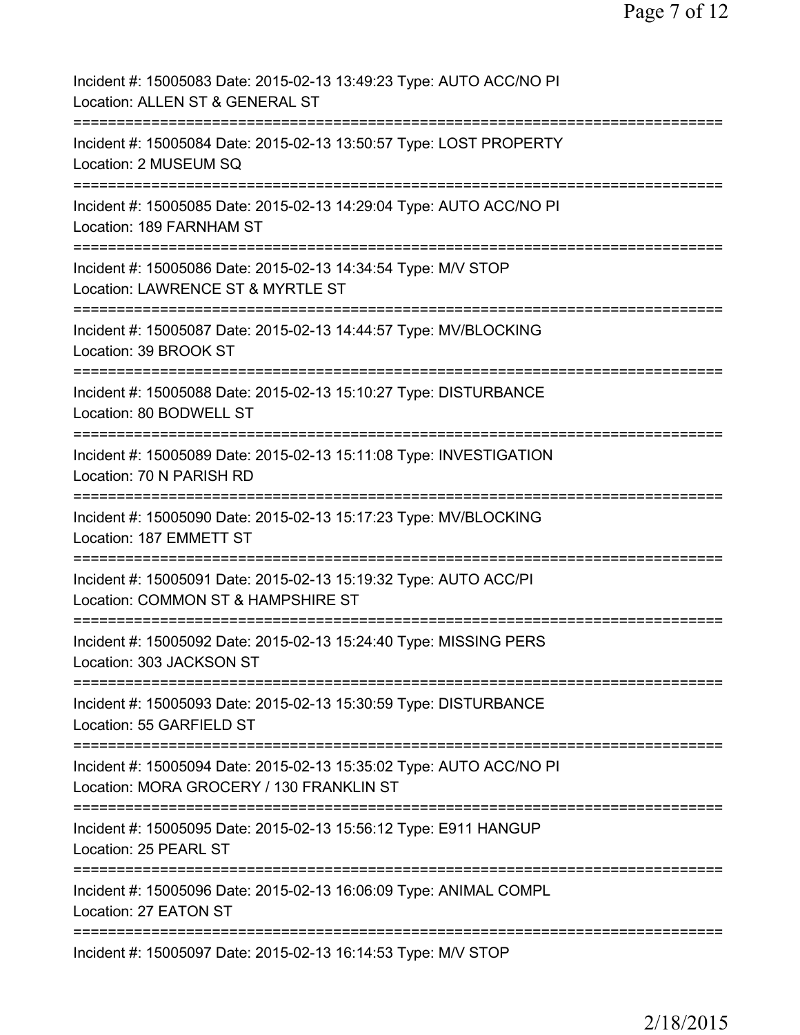| Incident #: 15005083 Date: 2015-02-13 13:49:23 Type: AUTO ACC/NO PI<br>Location: ALLEN ST & GENERAL ST                            |
|-----------------------------------------------------------------------------------------------------------------------------------|
| Incident #: 15005084 Date: 2015-02-13 13:50:57 Type: LOST PROPERTY<br>Location: 2 MUSEUM SQ                                       |
| Incident #: 15005085 Date: 2015-02-13 14:29:04 Type: AUTO ACC/NO PI<br>Location: 189 FARNHAM ST                                   |
| Incident #: 15005086 Date: 2015-02-13 14:34:54 Type: M/V STOP<br>Location: LAWRENCE ST & MYRTLE ST                                |
| Incident #: 15005087 Date: 2015-02-13 14:44:57 Type: MV/BLOCKING<br>Location: 39 BROOK ST                                         |
| Incident #: 15005088 Date: 2015-02-13 15:10:27 Type: DISTURBANCE<br>Location: 80 BODWELL ST                                       |
| Incident #: 15005089 Date: 2015-02-13 15:11:08 Type: INVESTIGATION<br>Location: 70 N PARISH RD                                    |
| Incident #: 15005090 Date: 2015-02-13 15:17:23 Type: MV/BLOCKING<br>Location: 187 EMMETT ST                                       |
| ===============<br>Incident #: 15005091 Date: 2015-02-13 15:19:32 Type: AUTO ACC/PI<br>Location: COMMON ST & HAMPSHIRE ST         |
| Incident #: 15005092 Date: 2015-02-13 15:24:40 Type: MISSING PERS<br>Location: 303 JACKSON ST                                     |
| Incident #: 15005093 Date: 2015-02-13 15:30:59 Type: DISTURBANCE<br>Location: 55 GARFIELD ST                                      |
| Incident #: 15005094 Date: 2015-02-13 15:35:02 Type: AUTO ACC/NO PI<br>Location: MORA GROCERY / 130 FRANKLIN ST                   |
| ====================================<br>Incident #: 15005095 Date: 2015-02-13 15:56:12 Type: E911 HANGUP<br>Location: 25 PEARL ST |
| Incident #: 15005096 Date: 2015-02-13 16:06:09 Type: ANIMAL COMPL<br>Location: 27 EATON ST                                        |
| Incident #: 15005097 Date: 2015-02-13 16:14:53 Type: M/V STOP                                                                     |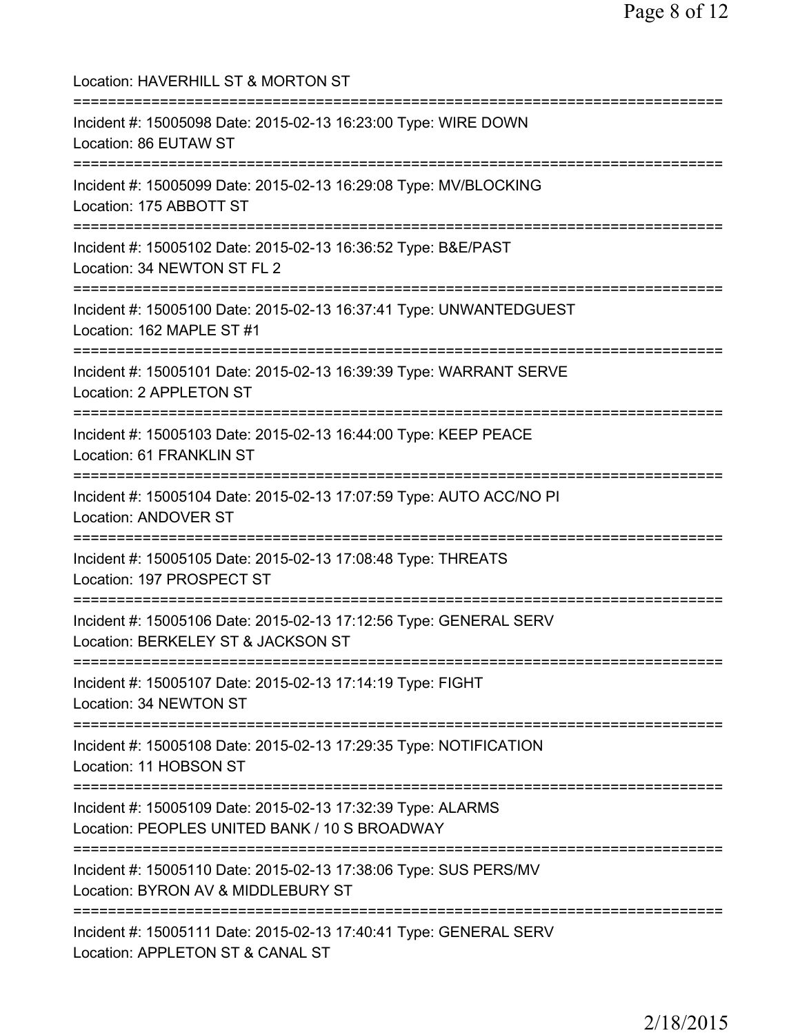Location: HAVERHILL ST & MORTON ST =========================================================================== Incident #: 15005098 Date: 2015-02-13 16:23:00 Type: WIRE DOWN Location: 86 EUTAW ST =========================================================================== Incident #: 15005099 Date: 2015-02-13 16:29:08 Type: MV/BLOCKING Location: 175 ABBOTT ST =========================================================================== Incident #: 15005102 Date: 2015-02-13 16:36:52 Type: B&E/PAST Location: 34 NEWTON ST FL 2 =========================================================================== Incident #: 15005100 Date: 2015-02-13 16:37:41 Type: UNWANTEDGUEST Location: 162 MAPLE ST #1 =========================================================================== Incident #: 15005101 Date: 2015-02-13 16:39:39 Type: WARRANT SERVE Location: 2 APPLETON ST =========================================================================== Incident #: 15005103 Date: 2015-02-13 16:44:00 Type: KEEP PEACE Location: 61 FRANKLIN ST =========================================================================== Incident #: 15005104 Date: 2015-02-13 17:07:59 Type: AUTO ACC/NO PI Location: ANDOVER ST =========================================================================== Incident #: 15005105 Date: 2015-02-13 17:08:48 Type: THREATS Location: 197 PROSPECT ST =========================================================================== Incident #: 15005106 Date: 2015-02-13 17:12:56 Type: GENERAL SERV Location: BERKELEY ST & JACKSON ST =========================================================================== Incident #: 15005107 Date: 2015-02-13 17:14:19 Type: FIGHT Location: 34 NEWTON ST =========================================================================== Incident #: 15005108 Date: 2015-02-13 17:29:35 Type: NOTIFICATION Location: 11 HOBSON ST =========================================================================== Incident #: 15005109 Date: 2015-02-13 17:32:39 Type: ALARMS Location: PEOPLES UNITED BANK / 10 S BROADWAY =========================================================================== Incident #: 15005110 Date: 2015-02-13 17:38:06 Type: SUS PERS/MV Location: BYRON AV & MIDDLEBURY ST =========================================================================== Incident #: 15005111 Date: 2015-02-13 17:40:41 Type: GENERAL SERV Location: APPLETON ST & CANAL ST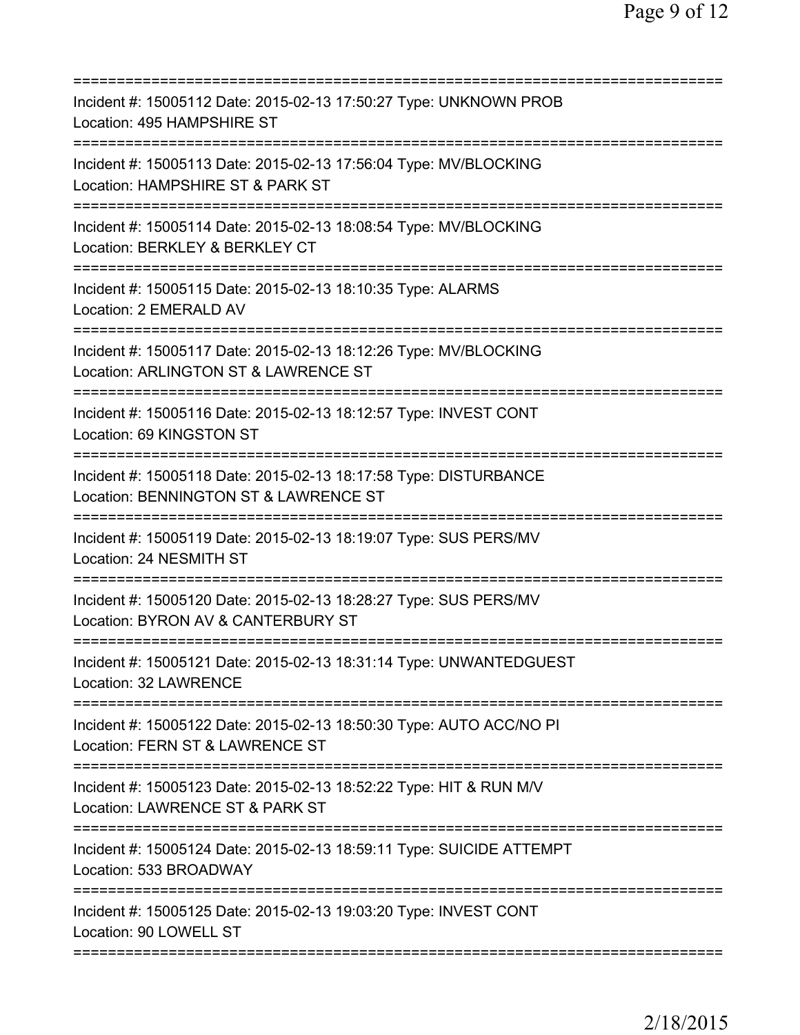| =========================                                                                                           |
|---------------------------------------------------------------------------------------------------------------------|
| Incident #: 15005112 Date: 2015-02-13 17:50:27 Type: UNKNOWN PROB<br>Location: 495 HAMPSHIRE ST                     |
| Incident #: 15005113 Date: 2015-02-13 17:56:04 Type: MV/BLOCKING<br>Location: HAMPSHIRE ST & PARK ST                |
| Incident #: 15005114 Date: 2015-02-13 18:08:54 Type: MV/BLOCKING<br>Location: BERKLEY & BERKLEY CT                  |
| Incident #: 15005115 Date: 2015-02-13 18:10:35 Type: ALARMS<br>Location: 2 EMERALD AV                               |
| Incident #: 15005117 Date: 2015-02-13 18:12:26 Type: MV/BLOCKING<br>Location: ARLINGTON ST & LAWRENCE ST            |
| Incident #: 15005116 Date: 2015-02-13 18:12:57 Type: INVEST CONT<br>Location: 69 KINGSTON ST                        |
| Incident #: 15005118 Date: 2015-02-13 18:17:58 Type: DISTURBANCE<br>Location: BENNINGTON ST & LAWRENCE ST           |
| Incident #: 15005119 Date: 2015-02-13 18:19:07 Type: SUS PERS/MV<br>Location: 24 NESMITH ST<br>==================== |
| Incident #: 15005120 Date: 2015-02-13 18:28:27 Type: SUS PERS/MV<br>Location: BYRON AV & CANTERBURY ST              |
| Incident #: 15005121 Date: 2015-02-13 18:31:14 Type: UNWANTEDGUEST<br><b>Location: 32 LAWRENCE</b>                  |
| Incident #: 15005122 Date: 2015-02-13 18:50:30 Type: AUTO ACC/NO PI<br>Location: FERN ST & LAWRENCE ST              |
| Incident #: 15005123 Date: 2015-02-13 18:52:22 Type: HIT & RUN M/V<br>Location: LAWRENCE ST & PARK ST               |
| Incident #: 15005124 Date: 2015-02-13 18:59:11 Type: SUICIDE ATTEMPT<br>Location: 533 BROADWAY                      |
| Incident #: 15005125 Date: 2015-02-13 19:03:20 Type: INVEST CONT<br>Location: 90 LOWELL ST                          |
|                                                                                                                     |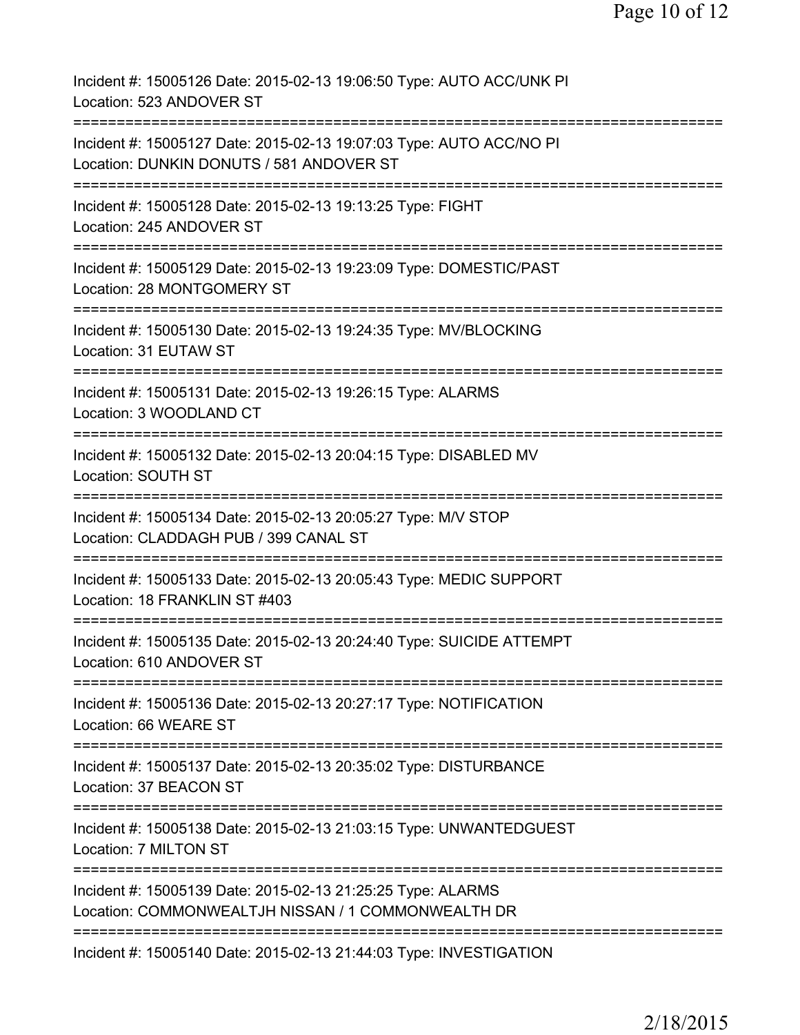| Incident #: 15005126 Date: 2015-02-13 19:06:50 Type: AUTO ACC/UNK PI<br>Location: 523 ANDOVER ST                                            |
|---------------------------------------------------------------------------------------------------------------------------------------------|
| Incident #: 15005127 Date: 2015-02-13 19:07:03 Type: AUTO ACC/NO PI<br>Location: DUNKIN DONUTS / 581 ANDOVER ST                             |
| Incident #: 15005128 Date: 2015-02-13 19:13:25 Type: FIGHT<br>Location: 245 ANDOVER ST                                                      |
| Incident #: 15005129 Date: 2015-02-13 19:23:09 Type: DOMESTIC/PAST<br>Location: 28 MONTGOMERY ST                                            |
| Incident #: 15005130 Date: 2015-02-13 19:24:35 Type: MV/BLOCKING<br>Location: 31 EUTAW ST                                                   |
| Incident #: 15005131 Date: 2015-02-13 19:26:15 Type: ALARMS<br>Location: 3 WOODLAND CT                                                      |
| Incident #: 15005132 Date: 2015-02-13 20:04:15 Type: DISABLED MV<br>Location: SOUTH ST                                                      |
| =================================<br>Incident #: 15005134 Date: 2015-02-13 20:05:27 Type: M/V STOP<br>Location: CLADDAGH PUB / 399 CANAL ST |
| Incident #: 15005133 Date: 2015-02-13 20:05:43 Type: MEDIC SUPPORT<br>Location: 18 FRANKLIN ST #403                                         |
| Incident #: 15005135 Date: 2015-02-13 20:24:40 Type: SUICIDE ATTEMPT<br>Location: 610 ANDOVER ST                                            |
| Incident #: 15005136 Date: 2015-02-13 20:27:17 Type: NOTIFICATION<br>Location: 66 WEARE ST                                                  |
| Incident #: 15005137 Date: 2015-02-13 20:35:02 Type: DISTURBANCE<br>Location: 37 BEACON ST                                                  |
| Incident #: 15005138 Date: 2015-02-13 21:03:15 Type: UNWANTEDGUEST<br>Location: 7 MILTON ST                                                 |
| =========<br>Incident #: 15005139 Date: 2015-02-13 21:25:25 Type: ALARMS<br>Location: COMMONWEALTJH NISSAN / 1 COMMONWEALTH DR              |
| Incident #: 15005140 Date: 2015-02-13 21:44:03 Type: INVESTIGATION                                                                          |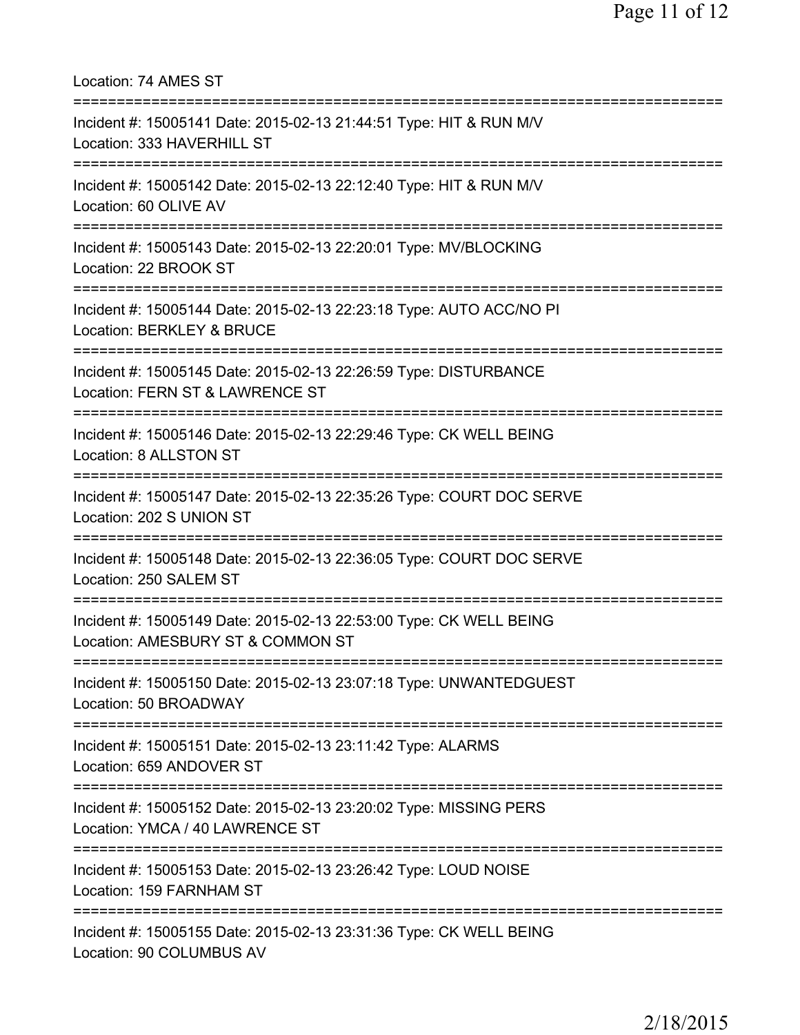Location: 74 AMES ST =========================================================================== Incident #: 15005141 Date: 2015-02-13 21:44:51 Type: HIT & RUN M/V Location: 333 HAVERHILL ST =========================================================================== Incident #: 15005142 Date: 2015-02-13 22:12:40 Type: HIT & RUN M/V Location: 60 OLIVE AV =========================================================================== Incident #: 15005143 Date: 2015-02-13 22:20:01 Type: MV/BLOCKING Location: 22 BROOK ST =========================================================================== Incident #: 15005144 Date: 2015-02-13 22:23:18 Type: AUTO ACC/NO PI Location: BERKLEY & BRUCE =========================================================================== Incident #: 15005145 Date: 2015-02-13 22:26:59 Type: DISTURBANCE Location: FERN ST & LAWRENCE ST =========================================================================== Incident #: 15005146 Date: 2015-02-13 22:29:46 Type: CK WELL BEING Location: 8 ALLSTON ST =========================================================================== Incident #: 15005147 Date: 2015-02-13 22:35:26 Type: COURT DOC SERVE Location: 202 S UNION ST =========================================================================== Incident #: 15005148 Date: 2015-02-13 22:36:05 Type: COURT DOC SERVE Location: 250 SALEM ST =========================================================================== Incident #: 15005149 Date: 2015-02-13 22:53:00 Type: CK WELL BEING Location: AMESBURY ST & COMMON ST =========================================================================== Incident #: 15005150 Date: 2015-02-13 23:07:18 Type: UNWANTEDGUEST Location: 50 BROADWAY =========================================================================== Incident #: 15005151 Date: 2015-02-13 23:11:42 Type: ALARMS Location: 659 ANDOVER ST =========================================================================== Incident #: 15005152 Date: 2015-02-13 23:20:02 Type: MISSING PERS Location: YMCA / 40 LAWRENCE ST =========================================================================== Incident #: 15005153 Date: 2015-02-13 23:26:42 Type: LOUD NOISE Location: 159 FARNHAM ST =========================================================================== Incident #: 15005155 Date: 2015-02-13 23:31:36 Type: CK WELL BEING Location: 90 COLUMBUS AV